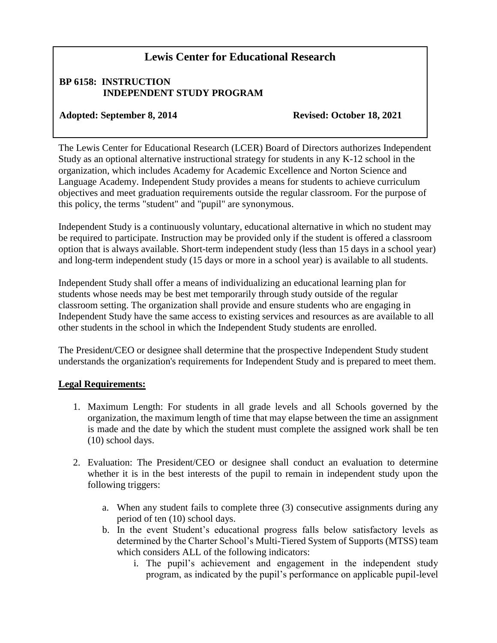## **Lewis Center for Educational Research**

## **BP 6158: INSTRUCTION INDEPENDENT STUDY PROGRAM**

## Adopted: September 8, 2014 Revised: October 18, 2021

The Lewis Center for Educational Research (LCER) Board of Directors authorizes Independent Study as an optional alternative instructional strategy for students in any K-12 school in the organization, which includes Academy for Academic Excellence and Norton Science and Language Academy. Independent Study provides a means for students to achieve curriculum objectives and meet graduation requirements outside the regular classroom. For the purpose of this policy, the terms "student" and "pupil" are synonymous.

Independent Study is a continuously voluntary, educational alternative in which no student may be required to participate. Instruction may be provided only if the student is offered a classroom option that is always available. Short-term independent study (less than 15 days in a school year) and long-term independent study (15 days or more in a school year) is available to all students.

Independent Study shall offer a means of individualizing an educational learning plan for students whose needs may be best met temporarily through study outside of the regular classroom setting. The organization shall provide and ensure students who are engaging in Independent Study have the same access to existing services and resources as are available to all other students in the school in which the Independent Study students are enrolled.

The President/CEO or designee shall determine that the prospective Independent Study student understands the organization's requirements for Independent Study and is prepared to meet them.

## **Legal Requirements:**

- 1. Maximum Length: For students in all grade levels and all Schools governed by the organization, the maximum length of time that may elapse between the time an assignment is made and the date by which the student must complete the assigned work shall be ten (10) school days.
- 2. Evaluation: The President/CEO or designee shall conduct an evaluation to determine whether it is in the best interests of the pupil to remain in independent study upon the following triggers:
	- a. When any student fails to complete three (3) consecutive assignments during any period of ten (10) school days.
	- b. In the event Student's educational progress falls below satisfactory levels as determined by the Charter School's Multi-Tiered System of Supports (MTSS) team which considers ALL of the following indicators:
		- i. The pupil's achievement and engagement in the independent study program, as indicated by the pupil's performance on applicable pupil-level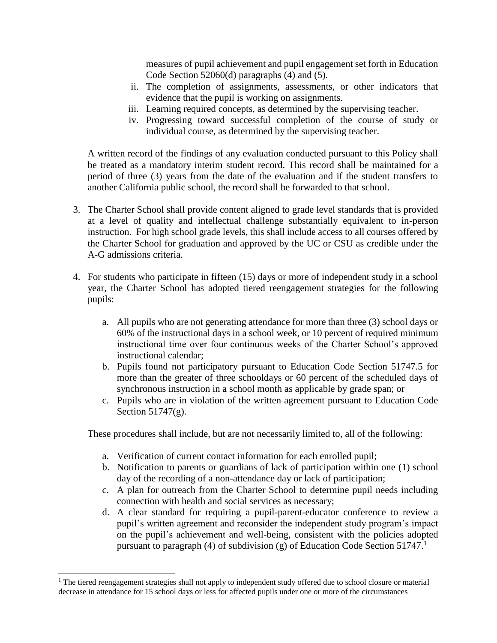measures of pupil achievement and pupil engagement set forth in Education Code Section 52060(d) paragraphs (4) and (5).

- ii. The completion of assignments, assessments, or other indicators that evidence that the pupil is working on assignments.
- iii. Learning required concepts, as determined by the supervising teacher.
- iv. Progressing toward successful completion of the course of study or individual course, as determined by the supervising teacher.

A written record of the findings of any evaluation conducted pursuant to this Policy shall be treated as a mandatory interim student record. This record shall be maintained for a period of three (3) years from the date of the evaluation and if the student transfers to another California public school, the record shall be forwarded to that school.

- 3. The Charter School shall provide content aligned to grade level standards that is provided at a level of quality and intellectual challenge substantially equivalent to in-person instruction. For high school grade levels, this shall include access to all courses offered by the Charter School for graduation and approved by the UC or CSU as credible under the A-G admissions criteria.
- 4. For students who participate in fifteen (15) days or more of independent study in a school year, the Charter School has adopted tiered reengagement strategies for the following pupils:
	- a. All pupils who are not generating attendance for more than three (3) school days or 60% of the instructional days in a school week, or 10 percent of required minimum instructional time over four continuous weeks of the Charter School's approved instructional calendar;
	- b. Pupils found not participatory pursuant to Education Code Section 51747.5 for more than the greater of three schooldays or 60 percent of the scheduled days of synchronous instruction in a school month as applicable by grade span; or
	- c. Pupils who are in violation of the written agreement pursuant to Education Code Section 51747(g).

These procedures shall include, but are not necessarily limited to, all of the following:

- a. Verification of current contact information for each enrolled pupil;
- b. Notification to parents or guardians of lack of participation within one (1) school day of the recording of a non-attendance day or lack of participation;
- c. A plan for outreach from the Charter School to determine pupil needs including connection with health and social services as necessary;
- d. A clear standard for requiring a pupil-parent-educator conference to review a pupil's written agreement and reconsider the independent study program's impact on the pupil's achievement and well-being, consistent with the policies adopted pursuant to paragraph (4) of subdivision (g) of Education Code Section 51747.<sup>1</sup>

l

<sup>&</sup>lt;sup>1</sup> The tiered reengagement strategies shall not apply to independent study offered due to school closure or material decrease in attendance for 15 school days or less for affected pupils under one or more of the circumstances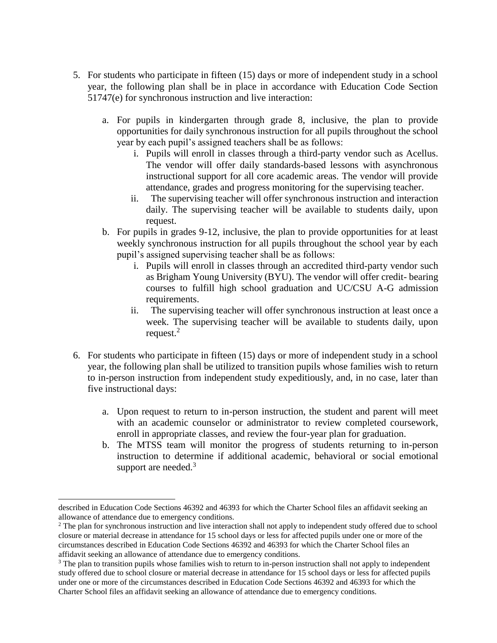- 5. For students who participate in fifteen (15) days or more of independent study in a school year, the following plan shall be in place in accordance with Education Code Section 51747(e) for synchronous instruction and live interaction:
	- a. For pupils in kindergarten through grade 8, inclusive, the plan to provide opportunities for daily synchronous instruction for all pupils throughout the school year by each pupil's assigned teachers shall be as follows:
		- i. Pupils will enroll in classes through a third-party vendor such as Acellus. The vendor will offer daily standards-based lessons with asynchronous instructional support for all core academic areas. The vendor will provide attendance, grades and progress monitoring for the supervising teacher.
		- ii. The supervising teacher will offer synchronous instruction and interaction daily. The supervising teacher will be available to students daily, upon request.
	- b. For pupils in grades 9-12, inclusive, the plan to provide opportunities for at least weekly synchronous instruction for all pupils throughout the school year by each pupil's assigned supervising teacher shall be as follows:
		- i. Pupils will enroll in classes through an accredited third-party vendor such as Brigham Young University (BYU). The vendor will offer credit- bearing courses to fulfill high school graduation and UC/CSU A-G admission requirements.
		- ii. The supervising teacher will offer synchronous instruction at least once a week. The supervising teacher will be available to students daily, upon request. $2$
- 6. For students who participate in fifteen (15) days or more of independent study in a school year, the following plan shall be utilized to transition pupils whose families wish to return to in-person instruction from independent study expeditiously, and, in no case, later than five instructional days:
	- a. Upon request to return to in-person instruction, the student and parent will meet with an academic counselor or administrator to review completed coursework, enroll in appropriate classes, and review the four-year plan for graduation.
	- b. The MTSS team will monitor the progress of students returning to in-person instruction to determine if additional academic, behavioral or social emotional support are needed.<sup>3</sup>

 $\overline{\phantom{a}}$ 

described in Education Code Sections 46392 and 46393 for which the Charter School files an affidavit seeking an allowance of attendance due to emergency conditions.

<sup>&</sup>lt;sup>2</sup> The plan for synchronous instruction and live interaction shall not apply to independent study offered due to school closure or material decrease in attendance for 15 school days or less for affected pupils under one or more of the circumstances described in Education Code Sections 46392 and 46393 for which the Charter School files an affidavit seeking an allowance of attendance due to emergency conditions.

<sup>&</sup>lt;sup>3</sup> The plan to transition pupils whose families wish to return to in-person instruction shall not apply to independent study offered due to school closure or material decrease in attendance for 15 school days or less for affected pupils under one or more of the circumstances described in Education Code Sections 46392 and 46393 for which the Charter School files an affidavit seeking an allowance of attendance due to emergency conditions.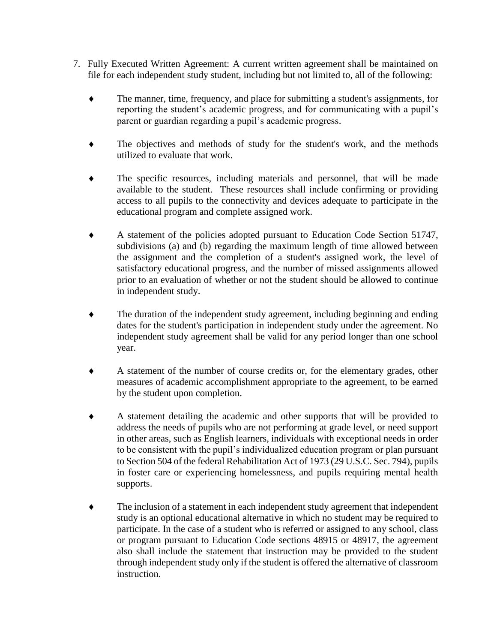- 7. Fully Executed Written Agreement: A current written agreement shall be maintained on file for each independent study student, including but not limited to, all of the following:
	- The manner, time, frequency, and place for submitting a student's assignments, for reporting the student's academic progress, and for communicating with a pupil's parent or guardian regarding a pupil's academic progress.
	- The objectives and methods of study for the student's work, and the methods utilized to evaluate that work.
	- The specific resources, including materials and personnel, that will be made available to the student. These resources shall include confirming or providing access to all pupils to the connectivity and devices adequate to participate in the educational program and complete assigned work.
	- A statement of the policies adopted pursuant to Education Code Section 51747, subdivisions (a) and (b) regarding the maximum length of time allowed between the assignment and the completion of a student's assigned work, the level of satisfactory educational progress, and the number of missed assignments allowed prior to an evaluation of whether or not the student should be allowed to continue in independent study.
	- The duration of the independent study agreement, including beginning and ending dates for the student's participation in independent study under the agreement. No independent study agreement shall be valid for any period longer than one school year.
	- A statement of the number of course credits or, for the elementary grades, other measures of academic accomplishment appropriate to the agreement, to be earned by the student upon completion.
	- A statement detailing the academic and other supports that will be provided to address the needs of pupils who are not performing at grade level, or need support in other areas, such as English learners, individuals with exceptional needs in order to be consistent with the pupil's individualized education program or plan pursuant to Section 504 of the federal Rehabilitation Act of 1973 (29 U.S.C. Sec. 794), pupils in foster care or experiencing homelessness, and pupils requiring mental health supports.
	- The inclusion of a statement in each independent study agreement that independent study is an optional educational alternative in which no student may be required to participate. In the case of a student who is referred or assigned to any school, class or program pursuant to Education Code sections 48915 or 48917, the agreement also shall include the statement that instruction may be provided to the student through independent study only if the student is offered the alternative of classroom instruction.